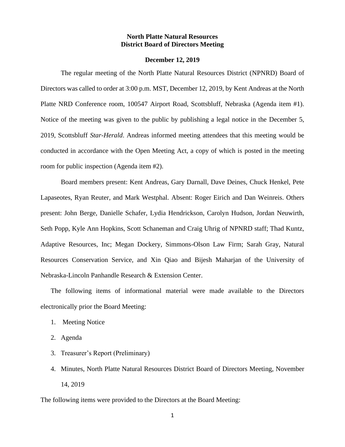### **North Platte Natural Resources District Board of Directors Meeting**

#### **December 12, 2019**

The regular meeting of the North Platte Natural Resources District (NPNRD) Board of Directors was called to order at 3:00 p.m. MST, December 12, 2019, by Kent Andreas at the North Platte NRD Conference room, 100547 Airport Road, Scottsbluff, Nebraska (Agenda item #1). Notice of the meeting was given to the public by publishing a legal notice in the December 5, 2019, Scottsbluff *Star-Herald*. Andreas informed meeting attendees that this meeting would be conducted in accordance with the Open Meeting Act, a copy of which is posted in the meeting room for public inspection (Agenda item #2).

Board members present: Kent Andreas, Gary Darnall, Dave Deines, Chuck Henkel, Pete Lapaseotes, Ryan Reuter, and Mark Westphal. Absent: Roger Eirich and Dan Weinreis. Others present: John Berge, Danielle Schafer, Lydia Hendrickson, Carolyn Hudson, Jordan Neuwirth, Seth Popp, Kyle Ann Hopkins, Scott Schaneman and Craig Uhrig of NPNRD staff; Thad Kuntz, Adaptive Resources, Inc; Megan Dockery, Simmons-Olson Law Firm; Sarah Gray, Natural Resources Conservation Service, and Xin Qiao and Bijesh Maharjan of the University of Nebraska-Lincoln Panhandle Research & Extension Center.

The following items of informational material were made available to the Directors electronically prior the Board Meeting:

- 1. Meeting Notice
- 2. Agenda
- 3. Treasurer's Report (Preliminary)
- 4. Minutes, North Platte Natural Resources District Board of Directors Meeting, November 14, 2019

The following items were provided to the Directors at the Board Meeting: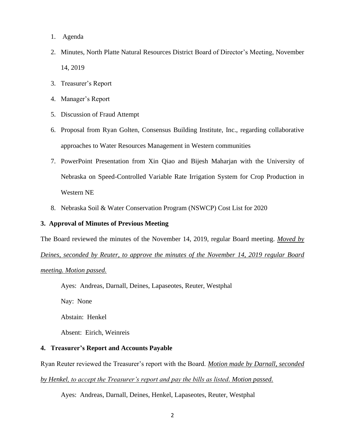- 1. Agenda
- 2. Minutes, North Platte Natural Resources District Board of Director's Meeting, November 14, 2019
- 3. Treasurer's Report
- 4. Manager's Report
- 5. Discussion of Fraud Attempt
- 6. Proposal from Ryan Golten, Consensus Building Institute, Inc., regarding collaborative approaches to Water Resources Management in Western communities
- 7. PowerPoint Presentation from Xin Qiao and Bijesh Maharjan with the University of Nebraska on Speed-Controlled Variable Rate Irrigation System for Crop Production in Western NE
- 8. Nebraska Soil & Water Conservation Program (NSWCP) Cost List for 2020

### **3. Approval of Minutes of Previous Meeting**

The Board reviewed the minutes of the November 14, 2019, regular Board meeting. *Moved by* 

*Deines, seconded by Reuter, to approve the minutes of the November 14, 2019 regular Board* 

#### *meeting. Motion passed.*

Ayes: Andreas, Darnall, Deines, Lapaseotes, Reuter, Westphal

Nay: None

Abstain: Henkel

Absent: Eirich, Weinreis

## **4. Treasurer's Report and Accounts Payable**

Ryan Reuter reviewed the Treasurer's report with the Board. *Motion made by Darnall, seconded* 

*by Henkel, to accept the Treasurer's report and pay the bills as listed. Motion passed.*

Ayes: Andreas, Darnall, Deines, Henkel, Lapaseotes, Reuter, Westphal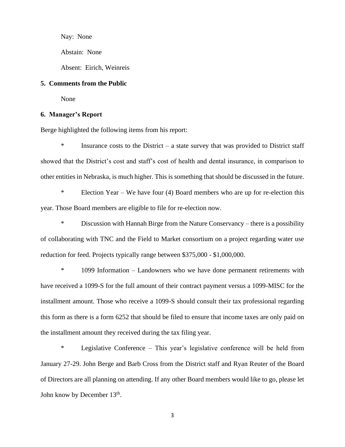Nay: None Abstain: None Absent: Eirich, Weinreis

## **5. Comments from the Public**

None

## **6. Manager's Report**

Berge highlighted the following items from his report:

 $*$  Insurance costs to the District – a state survey that was provided to District staff showed that the District's cost and staff's cost of health and dental insurance, in comparison to other entities in Nebraska, is much higher. This is something that should be discussed in the future.

\* Election Year – We have four (4) Board members who are up for re-election this year. Those Board members are eligible to file for re-election now.

\* Discussion with Hannah Birge from the Nature Conservancy – there is a possibility of collaborating with TNC and the Field to Market consortium on a project regarding water use reduction for feed. Projects typically range between \$375,000 - \$1,000,000.

\* 1099 Information – Landowners who we have done permanent retirements with have received a 1099-S for the full amount of their contract payment versus a 1099-MISC for the installment amount. Those who receive a 1099-S should consult their tax professional regarding this form as there is a form 6252 that should be filed to ensure that income taxes are only paid on the installment amount they received during the tax filing year.

\* Legislative Conference – This year's legislative conference will be held from January 27-29. John Berge and Barb Cross from the District staff and Ryan Reuter of the Board of Directors are all planning on attending. If any other Board members would like to go, please let John know by December 13<sup>th</sup>.

3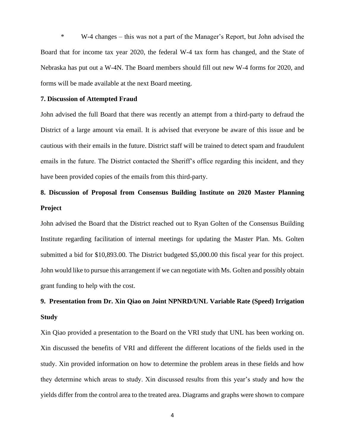\* W-4 changes – this was not a part of the Manager's Report, but John advised the Board that for income tax year 2020, the federal W-4 tax form has changed, and the State of Nebraska has put out a W-4N. The Board members should fill out new W-4 forms for 2020, and forms will be made available at the next Board meeting.

#### **7. Discussion of Attempted Fraud**

John advised the full Board that there was recently an attempt from a third-party to defraud the District of a large amount via email. It is advised that everyone be aware of this issue and be cautious with their emails in the future. District staff will be trained to detect spam and fraudulent emails in the future. The District contacted the Sheriff's office regarding this incident, and they have been provided copies of the emails from this third-party.

# **8. Discussion of Proposal from Consensus Building Institute on 2020 Master Planning Project**

John advised the Board that the District reached out to Ryan Golten of the Consensus Building Institute regarding facilitation of internal meetings for updating the Master Plan. Ms. Golten submitted a bid for \$10,893.00. The District budgeted \$5,000.00 this fiscal year for this project. John would like to pursue this arrangement if we can negotiate with Ms. Golten and possibly obtain grant funding to help with the cost.

# **9. Presentation from Dr. Xin Qiao on Joint NPNRD/UNL Variable Rate (Speed) Irrigation Study**

Xin Qiao provided a presentation to the Board on the VRI study that UNL has been working on. Xin discussed the benefits of VRI and different the different locations of the fields used in the study. Xin provided information on how to determine the problem areas in these fields and how they determine which areas to study. Xin discussed results from this year's study and how the yields differ from the control area to the treated area. Diagrams and graphs were shown to compare